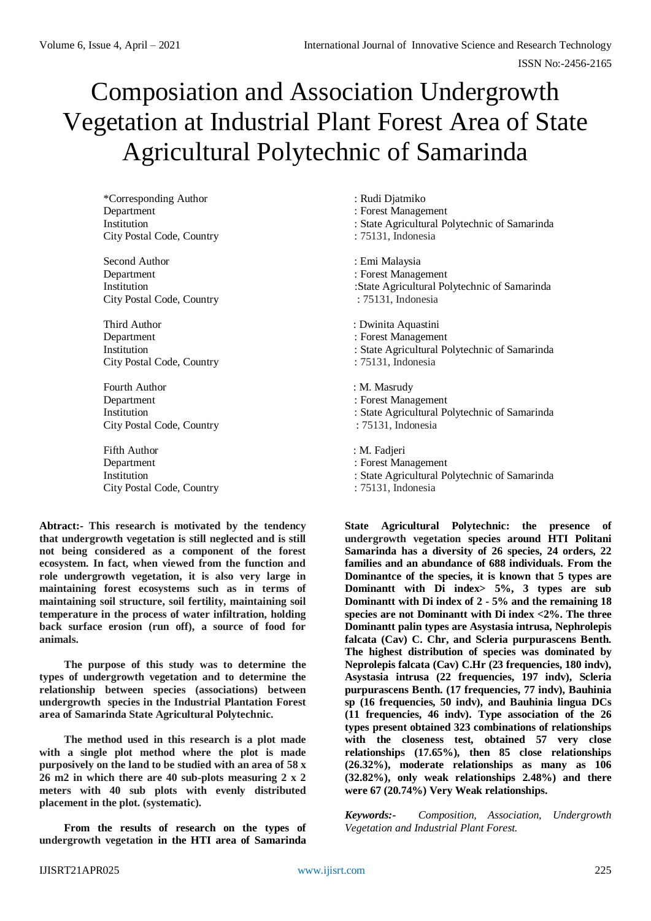# Composiation and Association Undergrowth Vegetation at Industrial Plant Forest Area of State Agricultural Polytechnic of Samarinda

\*Corresponding Author : Rudi Djatmiko Department : Forest Management City Postal Code, Country : 75131, Indonesia

Second Author : Emi Malaysia Department : Forest Management City Postal Code, Country : 75131, Indonesia

Third Author : Dwinita Aquastini Department : Forest Management City Postal Code, Country : 75131, Indonesia

Fourth Author : M. Masrudy Department : Forest Management City Postal Code, Country : 75131, Indonesia

Fifth Author : M. Fadjeri Department : Forest Management City Postal Code, Country : 75131, Indonesia

**Abtract:- This research is motivated by the tendency that undergrowth vegetation is still neglected and is still not being considered as a component of the forest ecosystem. In fact, when viewed from the function and role undergrowth vegetation, it is also very large in maintaining forest ecosystems such as in terms of maintaining soil structure, soil fertility, maintaining soil temperature in the process of water infiltration, holding back surface erosion (run off), a source of food for animals.** 

**The purpose of this study was to determine the types of undergrowth vegetation and to determine the relationship between species (associations) between undergrowth species in the Industrial Plantation Forest area of Samarinda State Agricultural Polytechnic.**

**The method used in this research is a plot made with a single plot method where the plot is made purposively on the land to be studied with an area of 58 x 26 m2 in which there are 40 sub-plots measuring 2 x 2 meters with 40 sub plots with evenly distributed placement in the plot. (systematic).** 

**From the results of research on the types of undergrowth vegetation in the HTI area of Samarinda** 

- 
- 
- Institution : State Agricultural Polytechnic of Samarinda
	-

- 
- Institution :State Agricultural Polytechnic of Samarinda
	-
	-
- Institution : State Agricultural Polytechnic of Samarinda
	-
	-
	-
- Institution : State Agricultural Polytechnic of Samarinda
	-
	-
	-
- Institution : State Agricultural Polytechnic of Samarinda
	-

**State Agricultural Polytechnic: the presence of undergrowth vegetation species around HTI Politani Samarinda has a diversity of 26 species, 24 orders, 22 families and an abundance of 688 individuals. From the Dominantce of the species, it is known that 5 types are Dominantt with Di index> 5%, 3 types are sub Dominantt with Di index of 2 - 5% and the remaining 18 species are not Dominantt with Di index <2%. The three Dominantt palin types are Asystasia intrusa, Nephrolepis falcata (Cav) C. Chr, and Scleria purpurascens Benth. The highest distribution of species was dominated by Neprolepis falcata (Cav) C.Hr (23 frequencies, 180 indv), Asystasia intrusa (22 frequencies, 197 indv), Scleria purpurascens Benth. (17 frequencies, 77 indv), Bauhinia sp (16 frequencies, 50 indv), and Bauhinia lingua DCs (11 frequencies, 46 indv). Type association of the 26 types present obtained 323 combinations of relationships with the closeness test, obtained 57 very close relationships (17.65%), then 85 close relationships (26.32%), moderate relationships as many as 106 (32.82%), only weak relationships 2.48%) and there were 67 (20.74%) Very Weak relationships.**

*Keywords:- Composition, Association, Undergrowth Vegetation and Industrial Plant Forest.*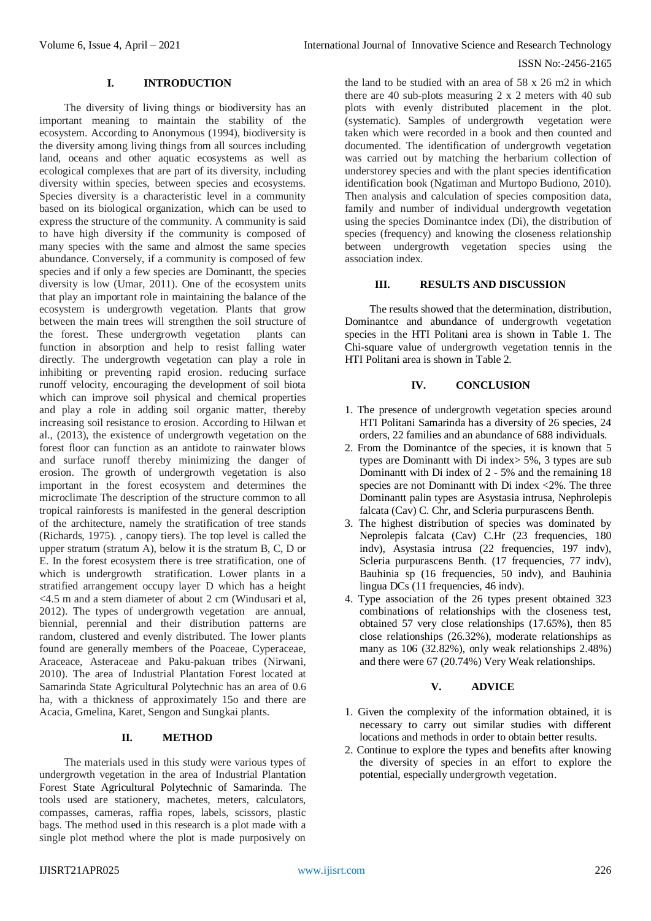#### ISSN No:-2456-2165

### **I. INTRODUCTION**

The diversity of living things or biodiversity has an important meaning to maintain the stability of the ecosystem. According to Anonymous (1994), biodiversity is the diversity among living things from all sources including land, oceans and other aquatic ecosystems as well as ecological complexes that are part of its diversity, including diversity within species, between species and ecosystems. Species diversity is a characteristic level in a community based on its biological organization, which can be used to express the structure of the community. A community is said to have high diversity if the community is composed of many species with the same and almost the same species abundance. Conversely, if a community is composed of few species and if only a few species are Dominantt, the species diversity is low (Umar, 2011). One of the ecosystem units that play an important role in maintaining the balance of the ecosystem is undergrowth vegetation. Plants that grow between the main trees will strengthen the soil structure of the forest. These undergrowth vegetation plants can function in absorption and help to resist falling water directly. The undergrowth vegetation can play a role in inhibiting or preventing rapid erosion. reducing surface runoff velocity, encouraging the development of soil biota which can improve soil physical and chemical properties and play a role in adding soil organic matter, thereby increasing soil resistance to erosion. According to Hilwan et al., (2013), the existence of undergrowth vegetation on the forest floor can function as an antidote to rainwater blows and surface runoff thereby minimizing the danger of erosion. The growth of undergrowth vegetation is also important in the forest ecosystem and determines the microclimate The description of the structure common to all tropical rainforests is manifested in the general description of the architecture, namely the stratification of tree stands (Richards, 1975). , canopy tiers). The top level is called the upper stratum (stratum A), below it is the stratum B, C, D or E. In the forest ecosystem there is tree stratification, one of which is undergrowth stratification. Lower plants in a stratified arrangement occupy layer D which has a height <4.5 m and a stem diameter of about 2 cm (Windusari et al, 2012). The types of undergrowth vegetation are annual, biennial, perennial and their distribution patterns are random, clustered and evenly distributed. The lower plants found are generally members of the Poaceae, Cyperaceae, Araceace, Asteraceae and Paku-pakuan tribes (Nirwani, 2010). The area of Industrial Plantation Forest located at Samarinda State Agricultural Polytechnic has an area of 0.6 ha, with a thickness of approximately 15o and there are Acacia, Gmelina, Karet, Sengon and Sungkai plants.

# **II. METHOD**

The materials used in this study were various types of undergrowth vegetation in the area of Industrial Plantation Forest State Agricultural Polytechnic of Samarinda. The tools used are stationery, machetes, meters, calculators, compasses, cameras, raffia ropes, labels, scissors, plastic bags. The method used in this research is a plot made with a single plot method where the plot is made purposively on

the land to be studied with an area of 58 x 26 m2 in which there are 40 sub-plots measuring 2 x 2 meters with 40 sub plots with evenly distributed placement in the plot. (systematic). Samples of undergrowth vegetation were taken which were recorded in a book and then counted and documented. The identification of undergrowth vegetation was carried out by matching the herbarium collection of understorey species and with the plant species identification identification book (Ngatiman and Murtopo Budiono, 2010). Then analysis and calculation of species composition data, family and number of individual undergrowth vegetation using the species Dominantce index (Di), the distribution of species (frequency) and knowing the closeness relationship between undergrowth vegetation species using the association index.

# **III. RESULTS AND DISCUSSION**

The results showed that the determination, distribution, Dominantce and abundance of undergrowth vegetation species in the HTI Politani area is shown in Table 1. The Chi-square value of undergrowth vegetation tennis in the HTI Politani area is shown in Table 2.

### **IV. CONCLUSION**

- 1. The presence of undergrowth vegetation species around HTI Politani Samarinda has a diversity of 26 species, 24 orders, 22 families and an abundance of 688 individuals.
- 2. From the Dominantce of the species, it is known that 5 types are Dominantt with Di index> 5%, 3 types are sub Dominantt with Di index of 2 - 5% and the remaining 18 species are not Dominantt with Di index <2%. The three Dominantt palin types are Asystasia intrusa, Nephrolepis falcata (Cav) C. Chr, and Scleria purpurascens Benth.
- 3. The highest distribution of species was dominated by Neprolepis falcata (Cav) C.Hr (23 frequencies, 180 indv), Asystasia intrusa (22 frequencies, 197 indv), Scleria purpurascens Benth. (17 frequencies, 77 indv), Bauhinia sp (16 frequencies, 50 indv), and Bauhinia lingua DCs (11 frequencies, 46 indv).
- 4. Type association of the 26 types present obtained 323 combinations of relationships with the closeness test, obtained 57 very close relationships (17.65%), then 85 close relationships (26.32%), moderate relationships as many as 106 (32.82%), only weak relationships 2.48%) and there were 67 (20.74%) Very Weak relationships.

# **V. ADVICE**

- 1. Given the complexity of the information obtained, it is necessary to carry out similar studies with different locations and methods in order to obtain better results.
- 2. Continue to explore the types and benefits after knowing the diversity of species in an effort to explore the potential, especially undergrowth vegetation.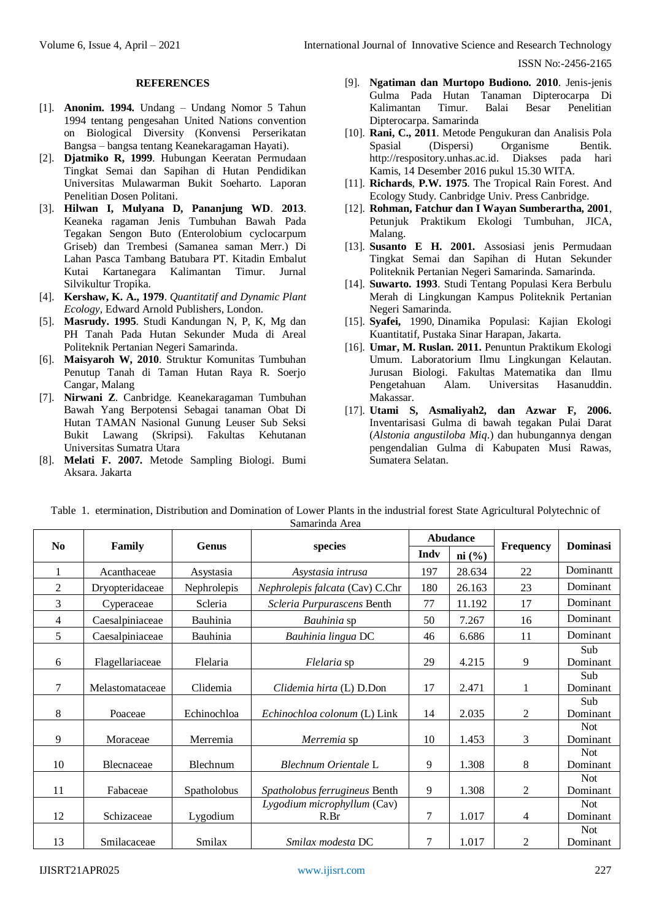ISSN No:-2456-2165

#### **REFERENCES**

- [1]. **Anonim. 1994.** Undang Undang Nomor 5 Tahun 1994 tentang pengesahan United Nations convention on Biological Diversity (Konvensi Perserikatan Bangsa – bangsa tentang Keanekaragaman Hayati).
- [2]. **Djatmiko R, 1999**. Hubungan Keeratan Permudaan Tingkat Semai dan Sapihan di Hutan Pendidikan Universitas Mulawarman Bukit Soeharto. Laporan Penelitian Dosen Politani.
- [3]. **Hilwan I, Mulyana D, Pananjung WD**. **2013**. Keaneka ragaman Jenis Tumbuhan Bawah Pada Tegakan Sengon Buto (Enterolobium cyclocarpum Griseb) dan Trembesi (Samanea saman Merr.) Di Lahan Pasca Tambang Batubara PT. Kitadin Embalut Kutai Kartanegara Kalimantan Timur. Jurnal Silvikultur Tropika.
- [4]. **Kershaw, K. A., 1979**. *Quantitatif and Dynamic Plant Ecology*, Edward Arnold Publishers, London.
- [5]. **Masrudy. 1995**. Studi Kandungan N, P, K, Mg dan PH Tanah Pada Hutan Sekunder Muda di Areal Politeknik Pertanian Negeri Samarinda.
- [6]. **Maisyaroh W, 2010**. Struktur Komunitas Tumbuhan Penutup Tanah di Taman Hutan Raya R. Soerjo Cangar, Malang
- [7]. **Nirwani Z**. Canbridge. Keanekaragaman Tumbuhan Bawah Yang Berpotensi Sebagai tanaman Obat Di Hutan TAMAN Nasional Gunung Leuser Sub Seksi Bukit Lawang (Skripsi). Fakultas Kehutanan Universitas Sumatra Utara
- [8]. **Melati F. 2007.** Metode Sampling Biologi. Bumi Aksara. Jakarta
- [9]. **Ngatiman dan Murtopo Budiono. 2010**. Jenis-jenis Gulma Pada Hutan Tanaman Dipterocarpa Di Kalimantan Timur. Balai Besar Penelitian Dipterocarpa. Samarinda
- [10]. **Rani, C., 2011**. Metode Pengukuran dan Analisis Pola Spasial (Dispersi) Organisme Bentik*.* [http://respository.unhas.ac.id.](http://respository.unhas.ac.id/) Diakses pada hari Kamis, 14 Desember 2016 pukul 15.30 WITA.
- [11]. **Richards**, **P.W. 1975**. The Tropical Rain Forest. And Ecology Study. Canbridge Univ. Press Canbridge.
- [12]. **Rohman, Fatchur dan I Wayan Sumberartha, 2001**, Petunjuk Praktikum Ekologi Tumbuhan, JICA, Malang.
- [13]. **Susanto E H. 2001.** Assosiasi jenis Permudaan Tingkat Semai dan Sapihan di Hutan Sekunder Politeknik Pertanian Negeri Samarinda. Samarinda.
- [14]. **Suwarto. 1993**. Studi Tentang Populasi Kera Berbulu Merah di Lingkungan Kampus Politeknik Pertanian Negeri Samarinda.
- [15]. **Syafei,** 1990, Dinamika Populasi: Kajian Ekologi Kuantitatif, Pustaka Sinar Harapan, Jakarta.
- [16]. **Umar, M. Ruslan. 2011.** Penuntun Praktikum Ekologi Umum. Laboratorium Ilmu Lingkungan Kelautan. Jurusan Biologi. Fakultas Matematika dan Ilmu Pengetahuan Alam. Universitas Hasanuddin. Makassar.
- [17]. **Utami S, Asmaliyah2, dan Azwar F, 2006.** Inventarisasi Gulma di bawah tegakan Pulai Darat (*Alstonia angustiloba Miq*.) dan hubungannya dengan pengendalian Gulma di Kabupaten Musi Rawas, Sumatera Selatan.

| No             |                 | <b>Genus</b> |                                 |      | <b>Abudance</b> |                  | <b>Dominasi</b>        |
|----------------|-----------------|--------------|---------------------------------|------|-----------------|------------------|------------------------|
|                | Family          |              | species                         | Indy | ni (%)          | <b>Frequency</b> |                        |
|                | Acanthaceae     | Asystasia    | Asystasia intrusa               | 197  | 28.634          | 22               | Dominantt              |
| $\overline{c}$ | Dryopteridaceae | Nephrolepis  | Nephrolepis falcata (Cav) C.Chr | 180  | 26.163          | 23               | Dominant               |
| 3              | Cyperaceae      | Scleria      | Scleria Purpurascens Benth      | 77   | 11.192          | 17               | Dominant               |
| 4              | Caesalpiniaceae | Bauhinia     | <i>Bauhinia</i> sp              | 50   | 7.267           | 16               | Dominant               |
| 5              | Caesalpiniaceae | Bauhinia     | Bauhinia lingua DC              | 46   | 6.686           | 11               | Dominant               |
| 6              | Flagellariaceae | Flelaria     | Flelaria sp                     | 29   | 4.215           | 9                | Sub<br>Dominant        |
| 7              | Melastomataceae | Clidemia     | Clidemia hirta (L) D.Don        | 17   | 2.471           | 1                | Sub<br>Dominant        |
| 8              | Poaceae         | Echinochloa  | Echinochloa colonum (L) Link    | 14   | 2.035           | 2                | Sub<br>Dominant        |
| 9              | Moraceae        | Merremia     | Merremia sp                     | 10   | 1.453           | 3                | <b>Not</b><br>Dominant |
| 10             | Blecnaceae      | Blechnum     | Blechnum Orientale L            | 9    | 1.308           | 8                | <b>Not</b><br>Dominant |
| 11             | Fabaceae        | Spatholobus  | Spatholobus ferrugineus Benth   | 9    | 1.308           | $\overline{2}$   | <b>Not</b><br>Dominant |
|                |                 |              | Lygodium microphyllum (Cav)     |      |                 |                  | <b>Not</b>             |
| 12             | Schizaceae      | Lygodium     | R.Br                            | 7    | 1.017           | 4                | Dominant               |
| 13             | Smilacaceae     | Smilax       | Smilax modesta DC               | 7    | 1.017           | 2                | Not<br>Dominant        |

Table 1. etermination, Distribution and Domination of Lower Plants in the industrial forest State Agricultural Polytechnic of Samarinda Area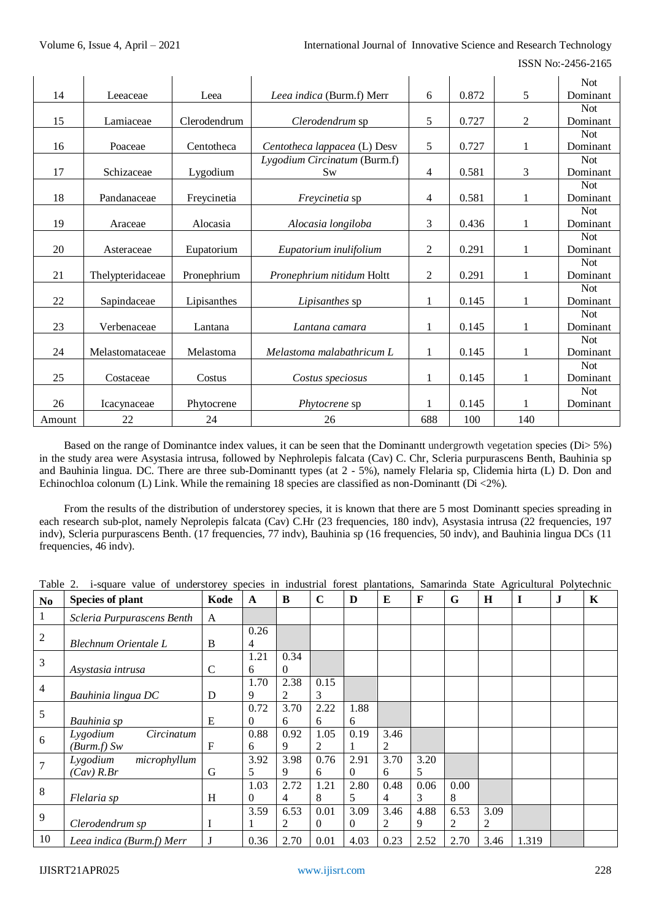ISSN No:-2456-2165

|        |                  |              |                              |                |       |                | <b>Not</b> |
|--------|------------------|--------------|------------------------------|----------------|-------|----------------|------------|
| 14     | Leeaceae         | Leea         | Leea indica (Burm.f) Merr    | 6              | 0.872 | 5              | Dominant   |
|        |                  |              |                              |                |       |                | <b>Not</b> |
| 15     | Lamiaceae        | Clerodendrum | Clerodendrum sp              | 5              | 0.727 | $\overline{2}$ | Dominant   |
|        |                  |              |                              |                |       |                | <b>Not</b> |
| 16     | Poaceae          | Centotheca   | Centotheca lappacea (L) Desv | 5              | 0.727 | 1              | Dominant   |
|        |                  |              | Lygodium Circinatum (Burm.f) |                |       |                | <b>Not</b> |
| 17     | Schizaceae       | Lygodium     | Sw                           | 4              | 0.581 | 3              | Dominant   |
|        |                  |              |                              |                |       |                | <b>Not</b> |
| 18     | Pandanaceae      | Freycinetia  | <i>Frevcinetia</i> sp        | 4              | 0.581 | $\mathbf{1}$   | Dominant   |
|        |                  |              |                              |                |       |                | <b>Not</b> |
| 19     | Araceae          | Alocasia     | Alocasia longiloba           | 3              | 0.436 | 1              | Dominant   |
|        |                  |              |                              |                |       |                | <b>Not</b> |
| 20     | Asteraceae       | Eupatorium   | Eupatorium inulifolium       | $\overline{2}$ | 0.291 | $\mathbf{1}$   | Dominant   |
|        |                  |              |                              |                |       |                | <b>Not</b> |
| 21     | Thelypteridaceae | Pronephrium  | Pronephrium nitidum Holtt    | $\overline{2}$ | 0.291 | 1              | Dominant   |
|        |                  |              |                              |                |       |                | <b>Not</b> |
| 22     | Sapindaceae      | Lipisanthes  | Lipisanthes sp               | 1              | 0.145 | 1              | Dominant   |
|        |                  |              |                              |                |       |                | <b>Not</b> |
| 23     | Verbenaceae      | Lantana      | Lantana camara               | 1              | 0.145 | 1              | Dominant   |
|        |                  |              |                              |                |       |                | <b>Not</b> |
| 24     | Melastomataceae  | Melastoma    | Melastoma malabathricum L    | 1              | 0.145 | $\mathbf{1}$   | Dominant   |
|        |                  |              |                              |                |       |                | <b>Not</b> |
| 25     | Costaceae        | Costus       | Costus speciosus             | 1              | 0.145 | 1              | Dominant   |
|        |                  |              |                              |                |       |                | <b>Not</b> |
| 26     | Icacynaceae      | Phytocrene   | Phytocrene sp                | 1              | 0.145 | 1              | Dominant   |
| Amount | 22               | 24           | 26                           | 688            | 100   | 140            |            |

Based on the range of Dominantce index values, it can be seen that the Dominantt undergrowth vegetation species (Di> 5%) in the study area were Asystasia intrusa, followed by Nephrolepis falcata (Cav) C. Chr, Scleria purpurascens Benth, Bauhinia sp and Bauhinia lingua. DC. There are three sub-Dominantt types (at 2 - 5%), namely Flelaria sp, Clidemia hirta (L) D. Don and Echinochloa colonum (L) Link. While the remaining 18 species are classified as non-Dominantt (Di <2%).

From the results of the distribution of understorey species, it is known that there are 5 most Dominantt species spreading in each research sub-plot, namely Neprolepis falcata (Cav) C.Hr (23 frequencies, 180 indv), Asystasia intrusa (22 frequencies, 197 indv), Scleria purpurascens Benth. (17 frequencies, 77 indv), Bauhinia sp (16 frequencies, 50 indv), and Bauhinia lingua DCs (11 frequencies, 46 indv).

| Table<br>value of understorey species in industrial forest plantations.<br>Samarinda<br>State Agricultural<br>Polytechnic<br>1-square |
|---------------------------------------------------------------------------------------------------------------------------------------|
|---------------------------------------------------------------------------------------------------------------------------------------|

| N <sub>0</sub> | <b>Species of plant</b>                            | Kode         | $\mathbf{A}$     | B                      | $\mathbf C$            | D                | E         | F         | G         | H         | $\mathbf I$ | $\bf J$ | K |
|----------------|----------------------------------------------------|--------------|------------------|------------------------|------------------------|------------------|-----------|-----------|-----------|-----------|-------------|---------|---|
| $\mathbf{1}$   | Scleria Purpurascens Benth                         | A            |                  |                        |                        |                  |           |           |           |           |             |         |   |
| $\overline{2}$ | Blechnum Orientale L                               | B            | 0.26<br>4        |                        |                        |                  |           |           |           |           |             |         |   |
| 3              | Asystasia intrusa                                  | $\mathsf{C}$ | 1.21<br>6        | 0.34<br>$\Omega$       |                        |                  |           |           |           |           |             |         |   |
| $\overline{4}$ | Bauhinia lingua DC                                 | D            | 1.70<br>9        | 2.38<br>2              | 0.15<br>3              |                  |           |           |           |           |             |         |   |
| 5              | Bauhinia sp                                        | E            | 0.72<br>$\Omega$ | 3.70<br>6              | 2.22<br>6              | 1.88<br>6        |           |           |           |           |             |         |   |
| 6              | Circinatum<br>Lygodium<br>(Burm.f) Sw              | F            | 0.88<br>6        | 0.92<br>9              | 1.05<br>2              | 0.19             | 3.46<br>2 |           |           |           |             |         |   |
| $\overline{7}$ | Lygodium<br>microphyllum<br>$(Cav)$ $R.$ <i>Br</i> | G            | 3.92<br>5        | 3.98<br>9              | 0.76<br>6              | 2.91<br>$\Omega$ | 3.70<br>6 | 3.20<br>5 |           |           |             |         |   |
| 8              | Flelaria sp                                        | H            | 1.03<br>$\Omega$ | 2.72<br>$\overline{4}$ | 1.21<br>8              | 2.80<br>5        | 0.48<br>4 | 0.06<br>3 | 0.00<br>8 |           |             |         |   |
| 9              | Clerodendrum sp                                    | I            | 3.59             | 6.53<br>2              | 0.01<br>$\overline{0}$ | 3.09<br>$\Omega$ | 3.46<br>2 | 4.88<br>9 | 6.53<br>2 | 3.09<br>2 |             |         |   |
| 10             | Leea indica (Burm.f) Merr                          | J            | 0.36             | 2.70                   | 0.01                   | 4.03             | 0.23      | 2.52      | 2.70      | 3.46      | 1.319       |         |   |